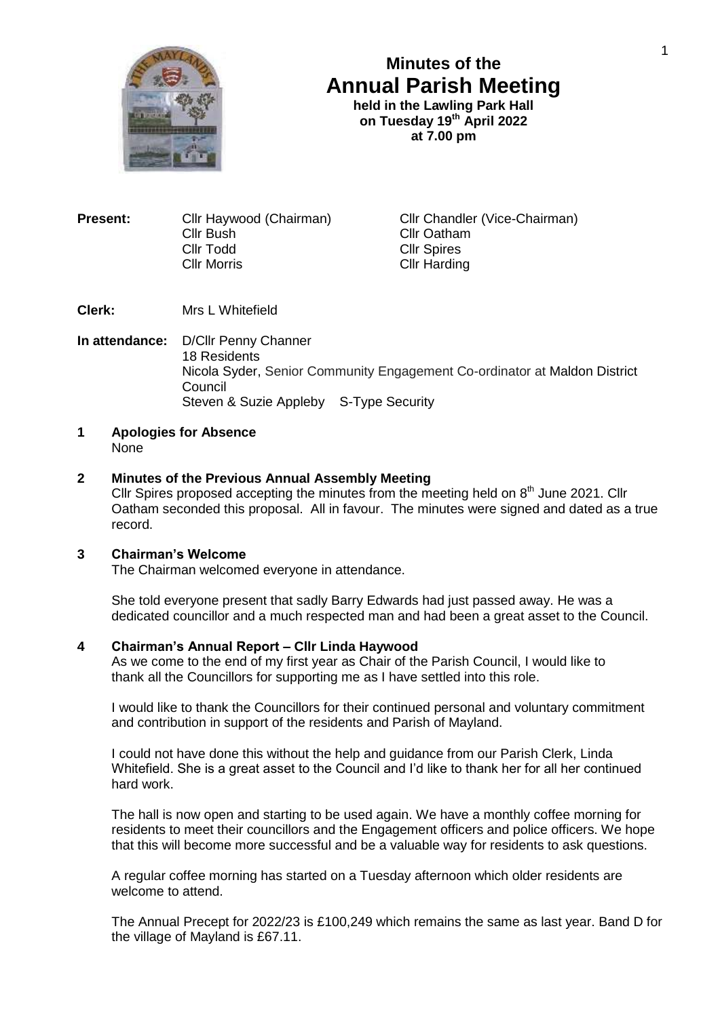

# **Minutes of the Annual Parish Meeting**

**held in the Lawling Park Hall on Tuesday 19th April 2022 at 7.00 pm**

**Present:** Cllr Haywood (Chairman) Cllr Chandler (Vice-Chairman) Cllr Bush Cllr Oatham<br>Cllr Todd Cllr Spires Cllr Todd Cllr Spires

Cllr Harding

**Clerk:** Mrs L Whitefield

**In attendance:** D/Cllr Penny Channer 18 Residents Nicola Syder, Senior Community Engagement Co-ordinator at Maldon District Council Steven & Suzie Appleby S-Type Security

**1 Apologies for Absence** None

## **2 Minutes of the Previous Annual Assembly Meeting**

Cllr Spires proposed accepting the minutes from the meeting held on  $8<sup>th</sup>$  June 2021. Cllr Oatham seconded this proposal. All in favour. The minutes were signed and dated as a true record.

## **3 Chairman's Welcome**

The Chairman welcomed everyone in attendance.

She told everyone present that sadly Barry Edwards had just passed away. He was a dedicated councillor and a much respected man and had been a great asset to the Council.

#### **4 Chairman's Annual Report – Cllr Linda Haywood**

As we come to the end of my first year as Chair of the Parish Council, I would like to thank all the Councillors for supporting me as I have settled into this role.

I would like to thank the Councillors for their continued personal and voluntary commitment and contribution in support of the residents and Parish of Mayland.

I could not have done this without the help and guidance from our Parish Clerk, Linda Whitefield. She is a great asset to the Council and I'd like to thank her for all her continued hard work.

The hall is now open and starting to be used again. We have a monthly coffee morning for residents to meet their councillors and the Engagement officers and police officers. We hope that this will become more successful and be a valuable way for residents to ask questions.

A regular coffee morning has started on a Tuesday afternoon which older residents are welcome to attend.

The Annual Precept for 2022/23 is £100,249 which remains the same as last year. Band D for the village of Mayland is £67.11.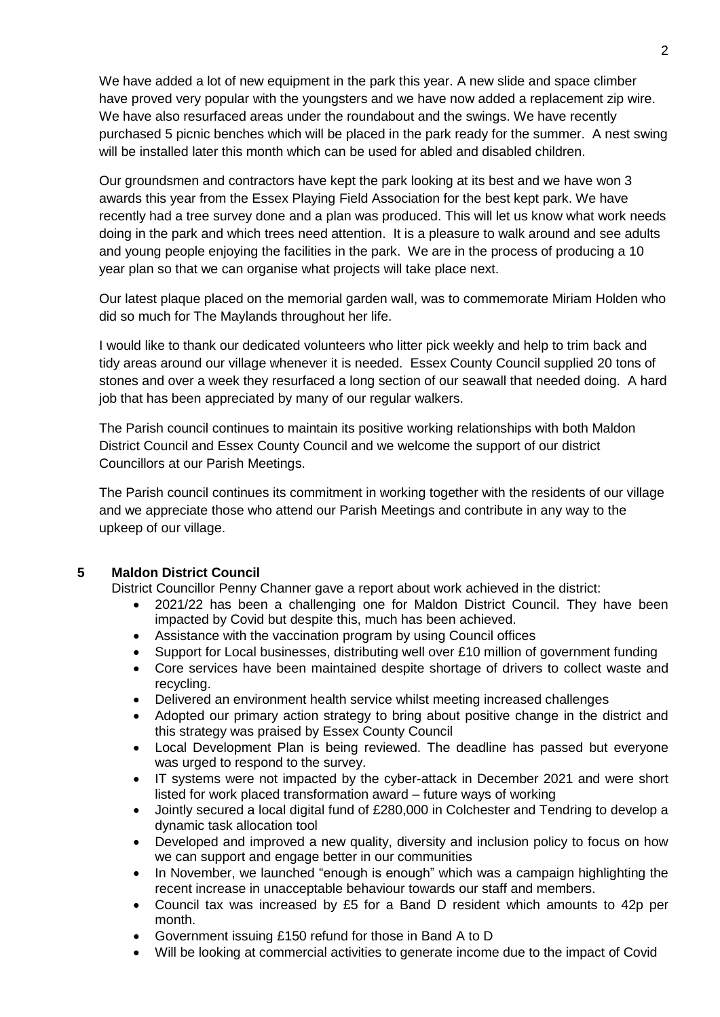We have added a lot of new equipment in the park this year. A new slide and space climber have proved very popular with the youngsters and we have now added a replacement zip wire. We have also resurfaced areas under the roundabout and the swings. We have recently purchased 5 picnic benches which will be placed in the park ready for the summer. A nest swing will be installed later this month which can be used for abled and disabled children.

Our groundsmen and contractors have kept the park looking at its best and we have won 3 awards this year from the Essex Playing Field Association for the best kept park. We have recently had a tree survey done and a plan was produced. This will let us know what work needs doing in the park and which trees need attention. It is a pleasure to walk around and see adults and young people enjoying the facilities in the park. We are in the process of producing a 10 year plan so that we can organise what projects will take place next.

Our latest plaque placed on the memorial garden wall, was to commemorate Miriam Holden who did so much for The Maylands throughout her life.

I would like to thank our dedicated volunteers who litter pick weekly and help to trim back and tidy areas around our village whenever it is needed. Essex County Council supplied 20 tons of stones and over a week they resurfaced a long section of our seawall that needed doing. A hard job that has been appreciated by many of our regular walkers.

The Parish council continues to maintain its positive working relationships with both Maldon District Council and Essex County Council and we welcome the support of our district Councillors at our Parish Meetings.

The Parish council continues its commitment in working together with the residents of our village and we appreciate those who attend our Parish Meetings and contribute in any way to the upkeep of our village.

#### **5 Maldon District Council**

District Councillor Penny Channer gave a report about work achieved in the district:

- 2021/22 has been a challenging one for Maldon District Council. They have been impacted by Covid but despite this, much has been achieved.
- Assistance with the vaccination program by using Council offices
- Support for Local businesses, distributing well over £10 million of government funding
- Core services have been maintained despite shortage of drivers to collect waste and recycling.
- Delivered an environment health service whilst meeting increased challenges
- Adopted our primary action strategy to bring about positive change in the district and this strategy was praised by Essex County Council
- Local Development Plan is being reviewed. The deadline has passed but everyone was urged to respond to the survey.
- IT systems were not impacted by the cyber-attack in December 2021 and were short listed for work placed transformation award – future ways of working
- Jointly secured a local digital fund of £280,000 in Colchester and Tendring to develop a dynamic task allocation tool
- Developed and improved a new quality, diversity and inclusion policy to focus on how we can support and engage better in our communities
- In November, we launched "enough is enough" which was a campaign highlighting the recent increase in unacceptable behaviour towards our staff and members.
- Council tax was increased by £5 for a Band D resident which amounts to 42p per month.
- Government issuing £150 refund for those in Band A to D
- Will be looking at commercial activities to generate income due to the impact of Covid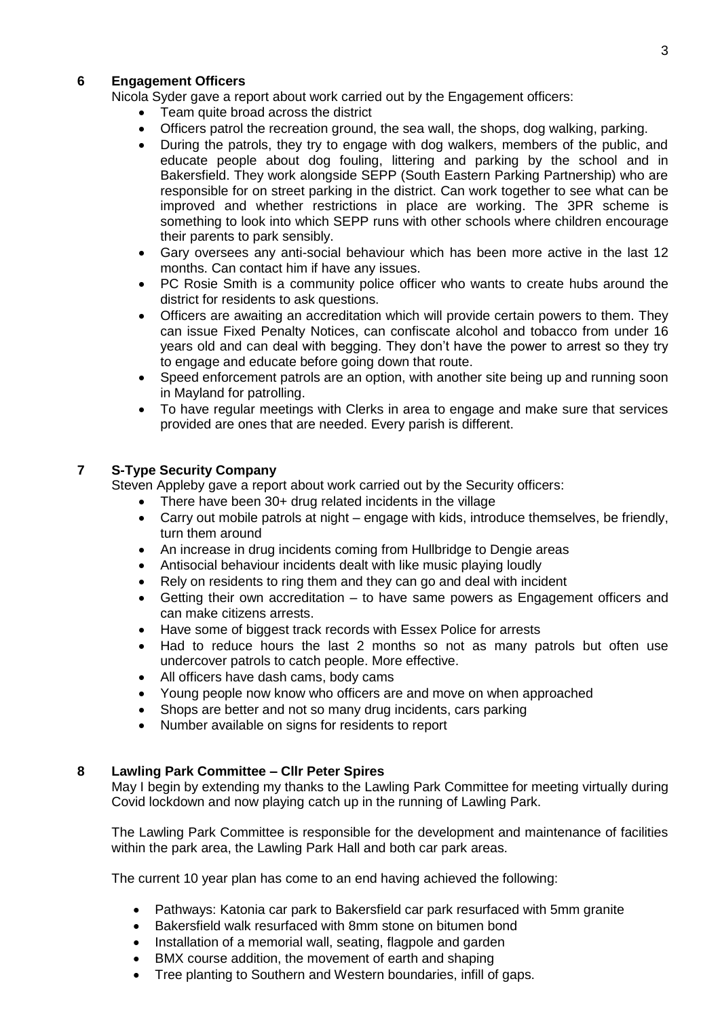## **6 Engagement Officers**

Nicola Syder gave a report about work carried out by the Engagement officers:

- Team quite broad across the district
- Officers patrol the recreation ground, the sea wall, the shops, dog walking, parking.
- During the patrols, they try to engage with dog walkers, members of the public, and educate people about dog fouling, littering and parking by the school and in Bakersfield. They work alongside SEPP (South Eastern Parking Partnership) who are responsible for on street parking in the district. Can work together to see what can be improved and whether restrictions in place are working. The 3PR scheme is something to look into which SEPP runs with other schools where children encourage their parents to park sensibly.
- Gary oversees any anti-social behaviour which has been more active in the last 12 months. Can contact him if have any issues.
- PC Rosie Smith is a community police officer who wants to create hubs around the district for residents to ask questions.
- Officers are awaiting an accreditation which will provide certain powers to them. They can issue Fixed Penalty Notices, can confiscate alcohol and tobacco from under 16 years old and can deal with begging. They don't have the power to arrest so they try to engage and educate before going down that route.
- Speed enforcement patrols are an option, with another site being up and running soon in Mayland for patrolling.
- To have regular meetings with Clerks in area to engage and make sure that services provided are ones that are needed. Every parish is different.

## **7 S-Type Security Company**

Steven Appleby gave a report about work carried out by the Security officers:

- There have been 30+ drug related incidents in the village
- Carry out mobile patrols at night engage with kids, introduce themselves, be friendly, turn them around
- An increase in drug incidents coming from Hullbridge to Dengie areas
- Antisocial behaviour incidents dealt with like music playing loudly
- Rely on residents to ring them and they can go and deal with incident
- Getting their own accreditation to have same powers as Engagement officers and can make citizens arrests.
- Have some of biggest track records with Essex Police for arrests
- Had to reduce hours the last 2 months so not as many patrols but often use undercover patrols to catch people. More effective.
- All officers have dash cams, body cams
- Young people now know who officers are and move on when approached
- Shops are better and not so many drug incidents, cars parking
- Number available on signs for residents to report

#### **8 Lawling Park Committee – Cllr Peter Spires**

May I begin by extending my thanks to the Lawling Park Committee for meeting virtually during Covid lockdown and now playing catch up in the running of Lawling Park.

The Lawling Park Committee is responsible for the development and maintenance of facilities within the park area, the Lawling Park Hall and both car park areas.

The current 10 year plan has come to an end having achieved the following:

- Pathways: Katonia car park to Bakersfield car park resurfaced with 5mm granite
- Bakersfield walk resurfaced with 8mm stone on bitumen bond
- Installation of a memorial wall, seating, flagpole and garden
- BMX course addition, the movement of earth and shaping
- Tree planting to Southern and Western boundaries, infill of gaps.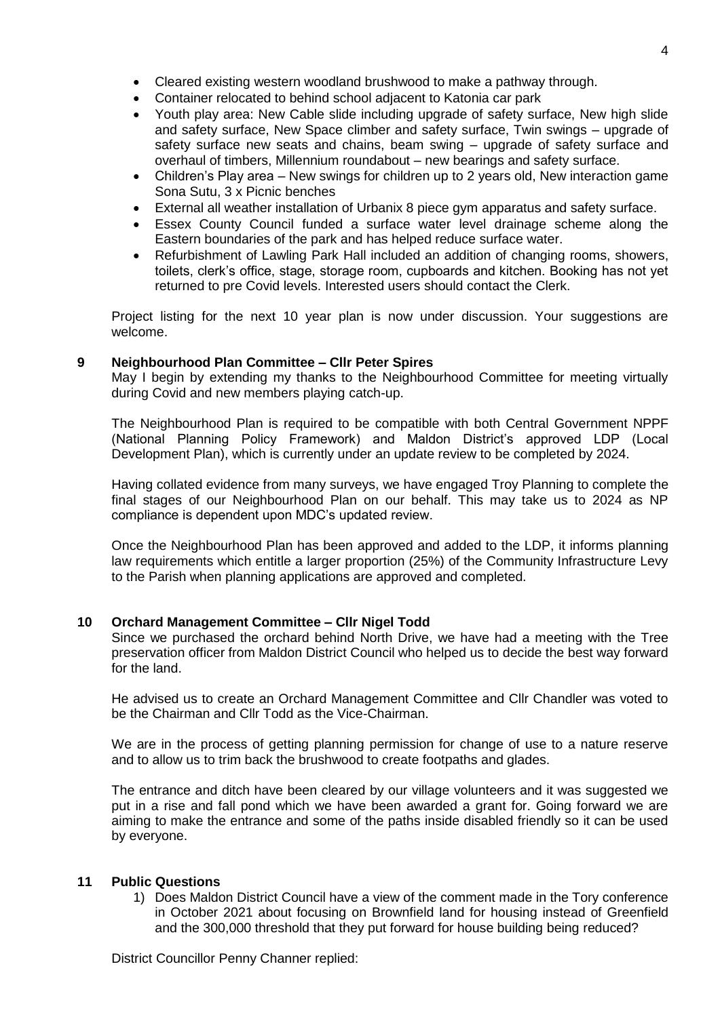- Cleared existing western woodland brushwood to make a pathway through.
- Container relocated to behind school adjacent to Katonia car park
- Youth play area: New Cable slide including upgrade of safety surface, New high slide and safety surface, New Space climber and safety surface, Twin swings – upgrade of safety surface new seats and chains, beam swing – upgrade of safety surface and overhaul of timbers, Millennium roundabout – new bearings and safety surface.
- Children's Play area New swings for children up to 2 years old, New interaction game Sona Sutu, 3 x Picnic benches
- External all weather installation of Urbanix 8 piece gym apparatus and safety surface.
- Essex County Council funded a surface water level drainage scheme along the Eastern boundaries of the park and has helped reduce surface water.
- Refurbishment of Lawling Park Hall included an addition of changing rooms, showers, toilets, clerk's office, stage, storage room, cupboards and kitchen. Booking has not yet returned to pre Covid levels. Interested users should contact the Clerk.

Project listing for the next 10 year plan is now under discussion. Your suggestions are welcome.

# **9 Neighbourhood Plan Committee – Cllr Peter Spires**

May I begin by extending my thanks to the Neighbourhood Committee for meeting virtually during Covid and new members playing catch-up.

The Neighbourhood Plan is required to be compatible with both Central Government NPPF (National Planning Policy Framework) and Maldon District's approved LDP (Local Development Plan), which is currently under an update review to be completed by 2024.

Having collated evidence from many surveys, we have engaged Troy Planning to complete the final stages of our Neighbourhood Plan on our behalf. This may take us to 2024 as NP compliance is dependent upon MDC's updated review.

Once the Neighbourhood Plan has been approved and added to the LDP, it informs planning law requirements which entitle a larger proportion (25%) of the Community Infrastructure Levy to the Parish when planning applications are approved and completed.

# **10 Orchard Management Committee – Cllr Nigel Todd**

Since we purchased the orchard behind North Drive, we have had a meeting with the Tree preservation officer from Maldon District Council who helped us to decide the best way forward for the land.

He advised us to create an Orchard Management Committee and Cllr Chandler was voted to be the Chairman and Cllr Todd as the Vice-Chairman.

We are in the process of getting planning permission for change of use to a nature reserve and to allow us to trim back the brushwood to create footpaths and glades.

The entrance and ditch have been cleared by our village volunteers and it was suggested we put in a rise and fall pond which we have been awarded a grant for. Going forward we are aiming to make the entrance and some of the paths inside disabled friendly so it can be used by everyone.

# **11 Public Questions**

1) Does Maldon District Council have a view of the comment made in the Tory conference in October 2021 about focusing on Brownfield land for housing instead of Greenfield and the 300,000 threshold that they put forward for house building being reduced?

District Councillor Penny Channer replied: